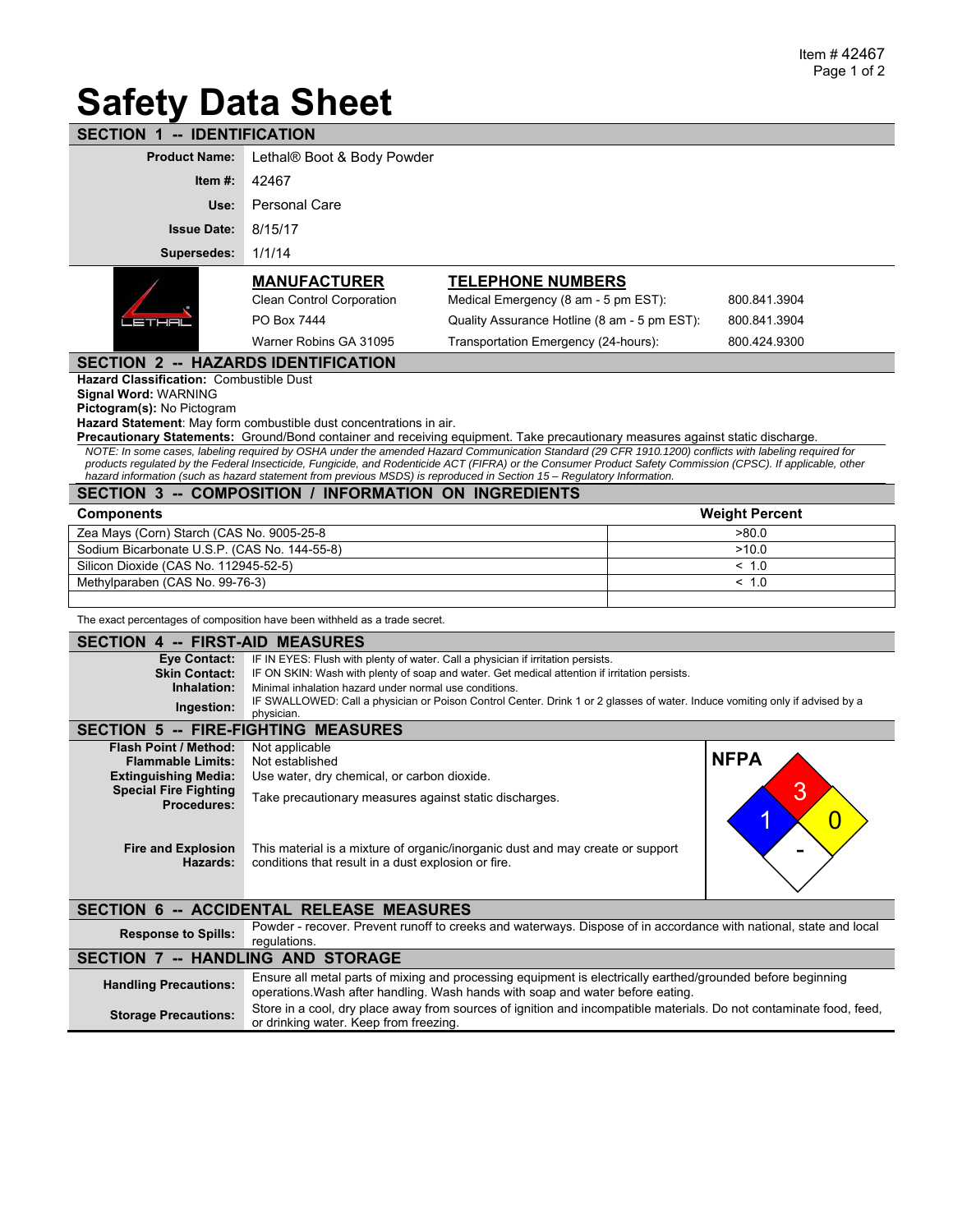## **Safety Data Sheet**

| <b>SECTION 1 -- IDENTIFICATION</b>                                                                                                                                                                                                                                                                                     |                                                                                                                                                                                               |                                                                  |             |                       |  |  |  |
|------------------------------------------------------------------------------------------------------------------------------------------------------------------------------------------------------------------------------------------------------------------------------------------------------------------------|-----------------------------------------------------------------------------------------------------------------------------------------------------------------------------------------------|------------------------------------------------------------------|-------------|-----------------------|--|--|--|
| <b>Product Name:</b>                                                                                                                                                                                                                                                                                                   | Lethal® Boot & Body Powder                                                                                                                                                                    |                                                                  |             |                       |  |  |  |
| Item $#$ :                                                                                                                                                                                                                                                                                                             | 42467                                                                                                                                                                                         |                                                                  |             |                       |  |  |  |
| Use:                                                                                                                                                                                                                                                                                                                   | <b>Personal Care</b>                                                                                                                                                                          |                                                                  |             |                       |  |  |  |
| <b>Issue Date:</b>                                                                                                                                                                                                                                                                                                     | 8/15/17                                                                                                                                                                                       |                                                                  |             |                       |  |  |  |
| Supersedes:                                                                                                                                                                                                                                                                                                            | 1/1/14                                                                                                                                                                                        |                                                                  |             |                       |  |  |  |
|                                                                                                                                                                                                                                                                                                                        |                                                                                                                                                                                               |                                                                  |             |                       |  |  |  |
|                                                                                                                                                                                                                                                                                                                        | <u>MANUFACTURER</u><br><b>Clean Control Corporation</b>                                                                                                                                       | <b>TELEPHONE NUMBERS</b><br>Medical Emergency (8 am - 5 pm EST): |             | 800.841.3904          |  |  |  |
| LETHEL                                                                                                                                                                                                                                                                                                                 | PO Box 7444                                                                                                                                                                                   | Quality Assurance Hotline (8 am - 5 pm EST):                     |             | 800.841.3904          |  |  |  |
|                                                                                                                                                                                                                                                                                                                        | Warner Robins GA 31095                                                                                                                                                                        | Transportation Emergency (24-hours):                             |             | 800.424.9300          |  |  |  |
| <b>SECTION 2 -- HAZARDS IDENTIFICATION</b>                                                                                                                                                                                                                                                                             |                                                                                                                                                                                               |                                                                  |             |                       |  |  |  |
| <b>Hazard Classification: Combustible Dust</b>                                                                                                                                                                                                                                                                         |                                                                                                                                                                                               |                                                                  |             |                       |  |  |  |
| <b>Signal Word: WARNING</b>                                                                                                                                                                                                                                                                                            |                                                                                                                                                                                               |                                                                  |             |                       |  |  |  |
| Pictogram(s): No Pictogram<br>Hazard Statement: May form combustible dust concentrations in air.                                                                                                                                                                                                                       |                                                                                                                                                                                               |                                                                  |             |                       |  |  |  |
| Precautionary Statements: Ground/Bond container and receiving equipment. Take precautionary measures against static discharge.                                                                                                                                                                                         |                                                                                                                                                                                               |                                                                  |             |                       |  |  |  |
| NOTE: In some cases, labeling required by OSHA under the amended Hazard Communication Standard (29 CFR 1910.1200) conflicts with labeling required for<br>products regulated by the Federal Insecticide, Fungicide, and Rodenticide ACT (FIFRA) or the Consumer Product Safety Commission (CPSC). If applicable, other |                                                                                                                                                                                               |                                                                  |             |                       |  |  |  |
| hazard information (such as hazard statement from previous MSDS) is reproduced in Section 15 - Regulatory Information.<br>SECTION 3 -- COMPOSITION / INFORMATION ON INGREDIENTS                                                                                                                                        |                                                                                                                                                                                               |                                                                  |             |                       |  |  |  |
| <b>Components</b>                                                                                                                                                                                                                                                                                                      |                                                                                                                                                                                               |                                                                  |             | <b>Weight Percent</b> |  |  |  |
| Zea Mays (Corn) Starch (CAS No. 9005-25-8                                                                                                                                                                                                                                                                              |                                                                                                                                                                                               |                                                                  | >80.0       |                       |  |  |  |
| Sodium Bicarbonate U.S.P. (CAS No. 144-55-8)                                                                                                                                                                                                                                                                           |                                                                                                                                                                                               |                                                                  | >10.0       |                       |  |  |  |
| Silicon Dioxide (CAS No. 112945-52-5)                                                                                                                                                                                                                                                                                  |                                                                                                                                                                                               |                                                                  |             | ~1.0                  |  |  |  |
| Methylparaben (CAS No. 99-76-3)                                                                                                                                                                                                                                                                                        |                                                                                                                                                                                               |                                                                  |             | < 1.0                 |  |  |  |
| The exact percentages of composition have been withheld as a trade secret.                                                                                                                                                                                                                                             |                                                                                                                                                                                               |                                                                  |             |                       |  |  |  |
| <b>SECTION 4 -- FIRST-AID MEASURES</b>                                                                                                                                                                                                                                                                                 |                                                                                                                                                                                               |                                                                  |             |                       |  |  |  |
| <b>Eve Contact:</b>                                                                                                                                                                                                                                                                                                    | IF IN EYES: Flush with plenty of water. Call a physician if irritation persists.                                                                                                              |                                                                  |             |                       |  |  |  |
| <b>Skin Contact:</b><br>Inhalation:                                                                                                                                                                                                                                                                                    | IF ON SKIN: Wash with plenty of soap and water. Get medical attention if irritation persists.<br>Minimal inhalation hazard under normal use conditions.                                       |                                                                  |             |                       |  |  |  |
| Ingestion:                                                                                                                                                                                                                                                                                                             | IF SWALLOWED: Call a physician or Poison Control Center. Drink 1 or 2 glasses of water. Induce vomiting only if advised by a                                                                  |                                                                  |             |                       |  |  |  |
| physician.<br><b>SECTION 5 -- FIRE-FIGHTING MEASURES</b>                                                                                                                                                                                                                                                               |                                                                                                                                                                                               |                                                                  |             |                       |  |  |  |
| Flash Point / Method:                                                                                                                                                                                                                                                                                                  | Not applicable                                                                                                                                                                                |                                                                  |             |                       |  |  |  |
| <b>Flammable Limits:</b>                                                                                                                                                                                                                                                                                               | Not established                                                                                                                                                                               |                                                                  | <b>NFPA</b> |                       |  |  |  |
| <b>Extinguishing Media:</b>                                                                                                                                                                                                                                                                                            | Use water, dry chemical, or carbon dioxide.                                                                                                                                                   |                                                                  |             |                       |  |  |  |
| <b>Special Fire Fighting</b><br><b>Procedures:</b>                                                                                                                                                                                                                                                                     | Take precautionary measures against static discharges.                                                                                                                                        | 3                                                                |             |                       |  |  |  |
|                                                                                                                                                                                                                                                                                                                        |                                                                                                                                                                                               |                                                                  |             | $\boldsymbol{0}$      |  |  |  |
| <b>Fire and Explosion</b><br>This material is a mixture of organic/inorganic dust and may create or support                                                                                                                                                                                                            |                                                                                                                                                                                               |                                                                  |             |                       |  |  |  |
| Hazards:                                                                                                                                                                                                                                                                                                               | conditions that result in a dust explosion or fire.                                                                                                                                           |                                                                  |             |                       |  |  |  |
|                                                                                                                                                                                                                                                                                                                        |                                                                                                                                                                                               |                                                                  |             |                       |  |  |  |
| SECTION 6 -- ACCIDENTAL RELEASE MEASURES                                                                                                                                                                                                                                                                               |                                                                                                                                                                                               |                                                                  |             |                       |  |  |  |
| <b>Response to Spills:</b>                                                                                                                                                                                                                                                                                             | Powder - recover. Prevent runoff to creeks and waterways. Dispose of in accordance with national, state and local<br>regulations.                                                             |                                                                  |             |                       |  |  |  |
| SECTION 7 -- HANDLING AND STORAGE                                                                                                                                                                                                                                                                                      |                                                                                                                                                                                               |                                                                  |             |                       |  |  |  |
| <b>Handling Precautions:</b>                                                                                                                                                                                                                                                                                           | Ensure all metal parts of mixing and processing equipment is electrically earthed/grounded before beginning<br>operations. Wash after handling. Wash hands with soap and water before eating. |                                                                  |             |                       |  |  |  |
| <b>Storage Precautions:</b>                                                                                                                                                                                                                                                                                            | Store in a cool, dry place away from sources of ignition and incompatible materials. Do not contaminate food, feed,<br>or drinking water. Keep from freezing.                                 |                                                                  |             |                       |  |  |  |